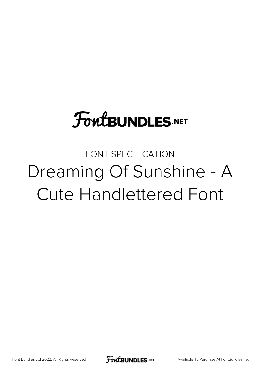## **FoutBUNDLES.NET**

### FONT SPECIFICATION Dreaming Of Sunshine - A Cute Handlettered Font

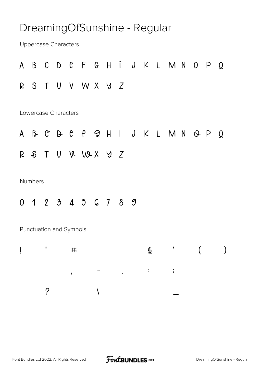### DreamingOfSunshine - Regular

**Uppercase Characters** 

|  |  | A B C D C F G H İ J K L M N O P Q |  |  |  |  |  |  |
|--|--|-----------------------------------|--|--|--|--|--|--|
|  |  | R S T U V W X Y Z                 |  |  |  |  |  |  |

Lowercase Characters

A B C D C P Q H I J K L M N O P Q R S T U V W X Y Z

**Numbers** 

1 2 3 4 5 6 7 8 9  $\Omega$ 

Punctuation and Symbols

|  |  | $\frac{1}{2}$ " $\frac{1}{2}$ $\frac{1}{2}$ $\frac{1}{2}$ $\frac{1}{2}$ $\frac{1}{2}$ $\frac{1}{2}$ $\frac{1}{2}$ $\frac{1}{2}$ $\frac{1}{2}$ $\frac{1}{2}$ $\frac{1}{2}$ $\frac{1}{2}$ $\frac{1}{2}$ $\frac{1}{2}$ $\frac{1}{2}$ $\frac{1}{2}$ $\frac{1}{2}$ $\frac{1}{2}$ $\frac{1}{2}$ $\frac{1}{2}$ $\frac{1}{2}$                                                                                                                                                                                                                 |  |  |
|--|--|---------------------------------------------------------------------------------------------------------------------------------------------------------------------------------------------------------------------------------------------------------------------------------------------------------------------------------------------------------------------------------------------------------------------------------------------------------------------------------------------------------------------------------------|--|--|
|  |  |                                                                                                                                                                                                                                                                                                                                                                                                                                                                                                                                       |  |  |
|  |  | $\begin{array}{cccccccccccccc} > & ? & [ & \quad & \mid & \quad & \mid & \quad & \wedge & \quad & - & \quad & \mid & \mid & \mid & \quad & \mid & \quad & \cdots & \mid & \cdots & \mid & \cdots & \mid & \cdots & \mid & \cdots & \mid & \cdots & \mid & \cdots & \mid & \cdots & \mid & \cdots & \mid & \cdots & \mid & \cdots & \mid & \cdots & \mid & \cdots & \mid & \cdots & \mid & \cdots & \mid & \cdots & \mid & \cdots & \mid & \cdots & \mid & \cdots & \mid & \cdots & \mid & \cdots & \mid & \cdots & \mid & \cdots & \$ |  |  |
|  |  | } $\dot{y}$ $\dot{y}$ $\dot{x}$ $\dot{y}$ $\dot{y}$ $\dot{y}$                                                                                                                                                                                                                                                                                                                                                                                                                                                                         |  |  |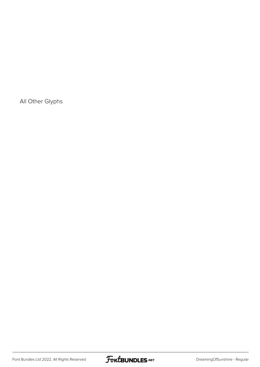

All Other Glyphs

# À Á Â Ã Ä Å Æ Ç È ÉÊËÌÍÎÏ ĐÑ ÒÓÔÔÖרÙ  $\dot{u}$ ÛÜÝÞßàáâã å æç è é ê ë ä  $\sqrt{ }$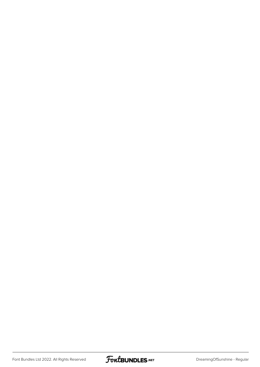# í î ï ð ñ ò ó ô õ ÷ ø ù ú û ü ý þ Ö  $\ddot{y}$

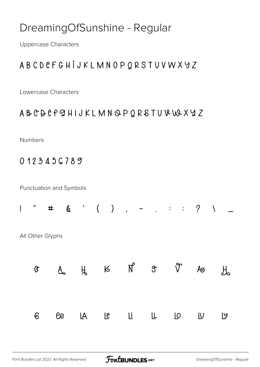### DreamingOfSunshine - Regular

**Uppercase Characters** 

### ABCDCFGHIJKLMNOPQRSTUVWXYZ

Lowercase Characters

#### ABCDCPQHIJKLMNQPQRSTUVWXYZ

Numbers

0123456789

**Punctuation and Symbols** 

All Other Glyphs